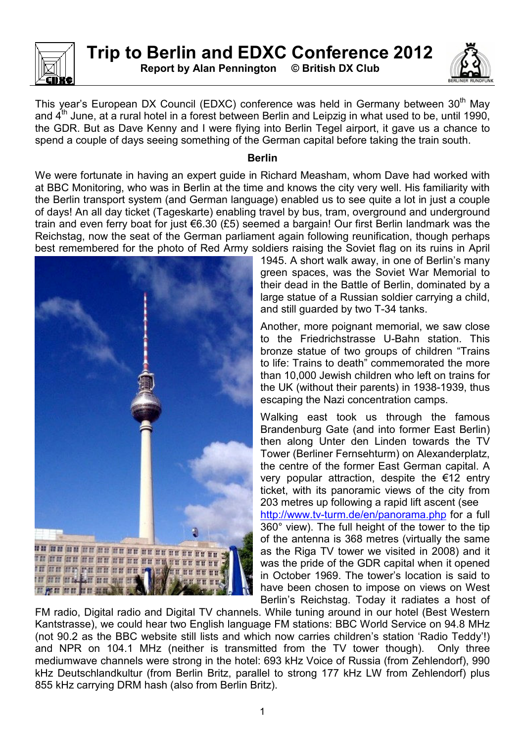

**Report by Alan Pennington © British DX Club** 



This year's European DX Council (EDXC) conference was held in Germany between 30<sup>th</sup> May and  $4<sup>th</sup>$  June, at a rural hotel in a forest between Berlin and Leipzig in what used to be, until 1990, the GDR. But as Dave Kenny and I were flying into Berlin Tegel airport, it gave us a chance to spend a couple of days seeing something of the German capital before taking the train south.

## **Berlin**

We were fortunate in having an expert guide in Richard Measham, whom Dave had worked with at BBC Monitoring, who was in Berlin at the time and knows the city very well. His familiarity with the Berlin transport system (and German language) enabled us to see quite a lot in just a couple of days! An all day ticket (Tageskarte) enabling travel by bus, tram, overground and underground train and even ferry boat for just €6.30 (£5) seemed a bargain! Our first Berlin landmark was the Reichstag, now the seat of the German parliament again following reunification, though perhaps best remembered for the photo of Red Army soldiers raising the Soviet flag on its ruins in April



1945. A short walk away, in one of Berlin's many green spaces, was the Soviet War Memorial to their dead in the Battle of Berlin, dominated by a large statue of a Russian soldier carrying a child, and still guarded by two T-34 tanks.

Another, more poignant memorial, we saw close to the Friedrichstrasse U-Bahn station. This bronze statue of two groups of children "Trains to life: Trains to death" commemorated the more than 10,000 Jewish children who left on trains for the UK (without their parents) in 1938-1939, thus escaping the Nazi concentration camps.

Walking east took us through the famous Brandenburg Gate (and into former East Berlin) then along Unter den Linden towards the TV Tower (Berliner Fernsehturm) on Alexanderplatz, the centre of the former East German capital. A very popular attraction, despite the €12 entry ticket, with its panoramic views of the city from 203 metres up following a rapid lift ascent (see http://www.tv-turm.de/en/panorama.php for a full 360° view). The full height of the tower to the tip of the antenna is 368 metres (virtually the same as the Riga TV tower we visited in 2008) and it was the pride of the GDR capital when it opened in October 1969. The tower's location is said to have been chosen to impose on views on West Berlin's Reichstag. Today it radiates a host of

FM radio, Digital radio and Digital TV channels. While tuning around in our hotel (Best Western Kantstrasse), we could hear two English language FM stations: BBC World Service on 94.8 MHz (not 90.2 as the BBC website still lists and which now carries children's station 'Radio Teddy'!) and NPR on 104.1 MHz (neither is transmitted from the TV tower though). Only three mediumwave channels were strong in the hotel: 693 kHz Voice of Russia (from Zehlendorf), 990 kHz Deutschlandkultur (from Berlin Britz, parallel to strong 177 kHz LW from Zehlendorf) plus 855 kHz carrying DRM hash (also from Berlin Britz).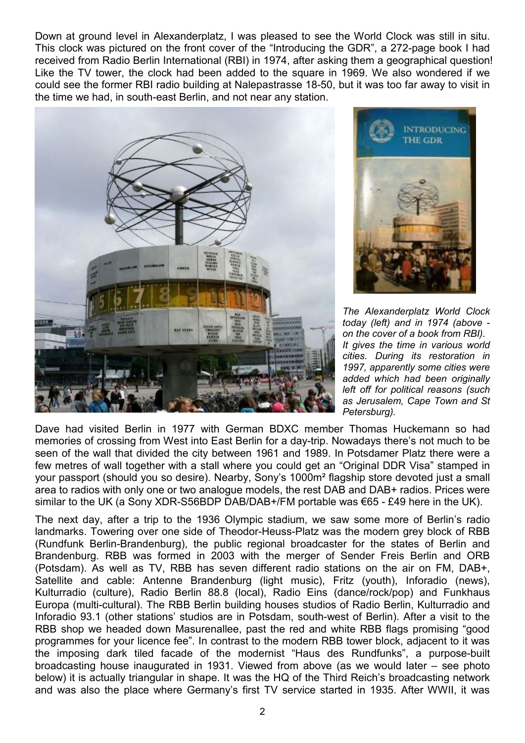Down at ground level in Alexanderplatz, I was pleased to see the World Clock was still in situ. This clock was pictured on the front cover of the "Introducing the GDR", a 272-page book I had received from Radio Berlin International (RBI) in 1974, after asking them a geographical question! Like the TV tower, the clock had been added to the square in 1969. We also wondered if we could see the former RBI radio building at Nalepastrasse 18-50, but it was too far away to visit in the time we had, in south-east Berlin, and not near any station.





*The Alexanderplatz World Clock today (left) and in 1974 (above on the cover of a book from RBI). It gives the time in various world cities. During its restoration in 1997, apparently some cities were added which had been originally left off for political reasons (such as Jerusalem, Cape Town and St Petersburg).* 

Dave had visited Berlin in 1977 with German BDXC member Thomas Huckemann so had memories of crossing from West into East Berlin for a day-trip. Nowadays there's not much to be seen of the wall that divided the city between 1961 and 1989. In Potsdamer Platz there were a few metres of wall together with a stall where you could get an "Original DDR Visa" stamped in your passport (should you so desire). Nearby, Sony's 1000m² flagship store devoted just a small area to radios with only one or two analogue models, the rest DAB and DAB+ radios. Prices were similar to the UK (a Sony XDR-S56BDP DAB/DAB+/FM portable was €65 - £49 here in the UK).

The next day, after a trip to the 1936 Olympic stadium, we saw some more of Berlin's radio landmarks. Towering over one side of Theodor-Heuss-Platz was the modern grey block of RBB (Rundfunk Berlin-Brandenburg), the public regional broadcaster for the states of Berlin and Brandenburg. RBB was formed in 2003 with the merger of Sender Freis Berlin and ORB (Potsdam). As well as TV, RBB has seven different radio stations on the air on FM, DAB+, Satellite and cable: Antenne Brandenburg (light music), Fritz (youth), Inforadio (news), Kulturradio (culture), Radio Berlin 88.8 (local), Radio Eins (dance/rock/pop) and Funkhaus Europa (multi-cultural). The RBB Berlin building houses studios of Radio Berlin, Kulturradio and Inforadio 93.1 (other stations' studios are in Potsdam, south-west of Berlin). After a visit to the RBB shop we headed down Masurenallee, past the red and white RBB flags promising "good programmes for your licence fee". In contrast to the modern RBB tower block, adjacent to it was the imposing dark tiled facade of the modernist "Haus des Rundfunks", a purpose-built broadcasting house inaugurated in 1931. Viewed from above (as we would later – see photo below) it is actually triangular in shape. It was the HQ of the Third Reich's broadcasting network and was also the place where Germany's first TV service started in 1935. After WWII, it was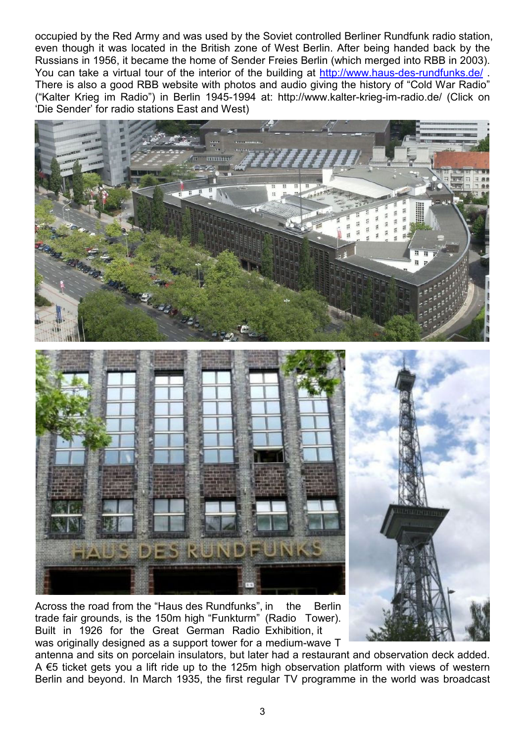occupied by the Red Army and was used by the Soviet controlled Berliner Rundfunk radio station, even though it was located in the British zone of West Berlin. After being handed back by the Russians in 1956, it became the home of Sender Freies Berlin (which merged into RBB in 2003). You can take a virtual tour of the interior of the building at http://www.haus-des-rundfunks.de/ . There is also a good RBB website with photos and audio giving the history of "Cold War Radio" ("Kalter Krieg im Radio") in Berlin 1945-1994 at: http://www.kalter-krieg-im-radio.de/ (Click on 'Die Sender' for radio stations East and West)



Across the road from the "Haus des Rundfunks", in the Berlin trade fair grounds, is the 150m high "Funkturm" (Radio Tower). Built in 1926 for the Great German Radio Exhibition, it was originally designed as a support tower for a medium-wave T

antenna and sits on porcelain insulators, but later had a restaurant and observation deck added. A €5 ticket gets you a lift ride up to the 125m high observation platform with views of western Berlin and beyond. In March 1935, the first regular TV programme in the world was broadcast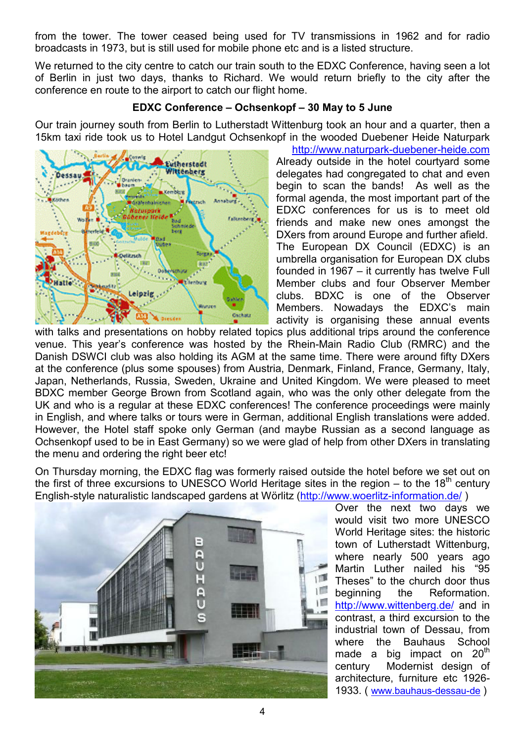from the tower. The tower ceased being used for TV transmissions in 1962 and for radio broadcasts in 1973, but is still used for mobile phone etc and is a listed structure.

We returned to the city centre to catch our train south to the EDXC Conference, having seen a lot of Berlin in just two days, thanks to Richard. We would return briefly to the city after the conference en route to the airport to catch our flight home.

## **EDXC Conference – Ochsenkopf – 30 May to 5 June**

Our train journey south from Berlin to Lutherstadt Wittenburg took an hour and a quarter, then a 15km taxi ride took us to Hotel Landgut Ochsenkopf in the wooded Duebener Heide Naturpark



http://www.naturpark-duebener-heide.com Already outside in the hotel courtyard some delegates had congregated to chat and even begin to scan the bands! As well as the formal agenda, the most important part of the EDXC conferences for us is to meet old friends and make new ones amongst the DXers from around Europe and further afield. The European DX Council (EDXC) is an umbrella organisation for European DX clubs founded in 1967 – it currently has twelve Full Member clubs and four Observer Member clubs. BDXC is one of the Observer Members. Nowadays the EDXC's main activity is organising these annual events

with talks and presentations on hobby related topics plus additional trips around the conference venue. This year's conference was hosted by the Rhein-Main Radio Club (RMRC) and the Danish DSWCI club was also holding its AGM at the same time. There were around fifty DXers at the conference (plus some spouses) from Austria, Denmark, Finland, France, Germany, Italy, Japan, Netherlands, Russia, Sweden, Ukraine and United Kingdom. We were pleased to meet BDXC member George Brown from Scotland again, who was the only other delegate from the UK and who is a regular at these EDXC conferences! The conference proceedings were mainly in English, and where talks or tours were in German, additional English translations were added. However, the Hotel staff spoke only German (and maybe Russian as a second language as Ochsenkopf used to be in East Germany) so we were glad of help from other DXers in translating the menu and ordering the right beer etc!

On Thursday morning, the EDXC flag was formerly raised outside the hotel before we set out on the first of three excursions to UNESCO World Heritage sites in the region – to the  $18<sup>th</sup>$  century English-style naturalistic landscaped gardens at Wörlitz (http://www.woerlitz-information.de/ )



Over the next two days we would visit two more UNESCO World Heritage sites: the historic town of Lutherstadt Wittenburg, where nearly 500 years ago Martin Luther nailed his "95 Theses" to the church door thus beginning the Reformation. http://www.wittenberg.de/ and in contrast, a third excursion to the industrial town of Dessau, from where the Bauhaus School made a big impact on  $20<sup>th</sup>$ century Modernist design of architecture, furniture etc 1926- 1933. ( www.bauhaus-dessau-de )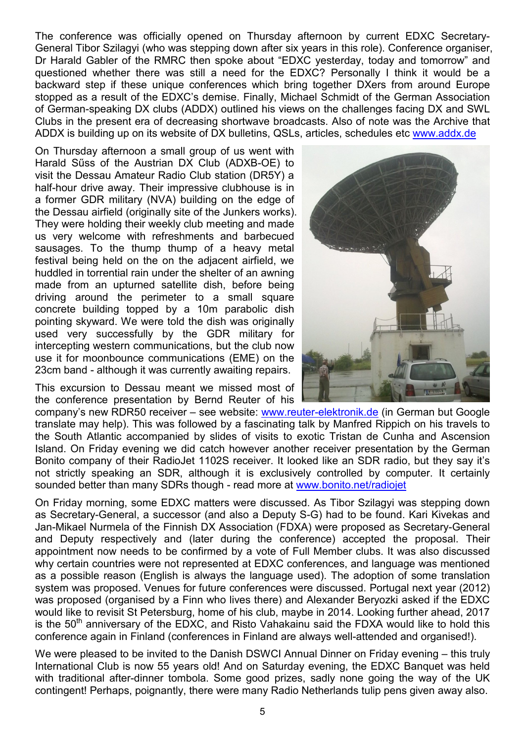The conference was officially opened on Thursday afternoon by current EDXC Secretary-General Tibor Szilagyi (who was stepping down after six years in this role). Conference organiser, Dr Harald Gabler of the RMRC then spoke about "EDXC yesterday, today and tomorrow" and questioned whether there was still a need for the EDXC? Personally I think it would be a backward step if these unique conferences which bring together DXers from around Europe stopped as a result of the EDXC's demise. Finally, Michael Schmidt of the German Association of German-speaking DX clubs (ADDX) outlined his views on the challenges facing DX and SWL Clubs in the present era of decreasing shortwave broadcasts. Also of note was the Archive that ADDX is building up on its website of DX bulletins, QSLs, articles, schedules etc www.addx.de

On Thursday afternoon a small group of us went with Harald Sűss of the Austrian DX Club (ADXB-OE) to visit the Dessau Amateur Radio Club station (DR5Y) a half-hour drive away. Their impressive clubhouse is in a former GDR military (NVA) building on the edge of the Dessau airfield (originally site of the Junkers works). They were holding their weekly club meeting and made us very welcome with refreshments and barbecued sausages. To the thump thump of a heavy metal festival being held on the on the adjacent airfield, we huddled in torrential rain under the shelter of an awning made from an upturned satellite dish, before being driving around the perimeter to a small square concrete building topped by a 10m parabolic dish pointing skyward. We were told the dish was originally used very successfully by the GDR military for intercepting western communications, but the club now use it for moonbounce communications (EME) on the 23cm band - although it was currently awaiting repairs.

This excursion to Dessau meant we missed most of the conference presentation by Bernd Reuter of his

company's new RDR50 receiver – see website: www.reuter-elektronik.de (in German but Google translate may help). This was followed by a fascinating talk by Manfred Rippich on his travels to the South Atlantic accompanied by slides of visits to exotic Tristan de Cunha and Ascension Island. On Friday evening we did catch however another receiver presentation by the German Bonito company of their RadioJet 1102S receiver. It looked like an SDR radio, but they say it's not strictly speaking an SDR, although it is exclusively controlled by computer. It certainly sounded better than many SDRs though - read more at www.bonito.net/radiojet

On Friday morning, some EDXC matters were discussed. As Tibor Szilagyi was stepping down as Secretary-General, a successor (and also a Deputy S-G) had to be found. Kari Kivekas and Jan-Mikael Nurmela of the Finnish DX Association (FDXA) were proposed as Secretary-General and Deputy respectively and (later during the conference) accepted the proposal. Their appointment now needs to be confirmed by a vote of Full Member clubs. It was also discussed why certain countries were not represented at EDXC conferences, and language was mentioned as a possible reason (English is always the language used). The adoption of some translation system was proposed. Venues for future conferences were discussed. Portugal next year (2012) was proposed (organised by a Finn who lives there) and Alexander Beryozki asked if the EDXC would like to revisit St Petersburg, home of his club, maybe in 2014. Looking further ahead, 2017 is the  $50<sup>th</sup>$  anniversary of the EDXC, and Risto Vahakainu said the FDXA would like to hold this conference again in Finland (conferences in Finland are always well-attended and organised!).

We were pleased to be invited to the Danish DSWCI Annual Dinner on Friday evening – this truly International Club is now 55 years old! And on Saturday evening, the EDXC Banquet was held with traditional after-dinner tombola. Some good prizes, sadly none going the way of the UK contingent! Perhaps, poignantly, there were many Radio Netherlands tulip pens given away also.